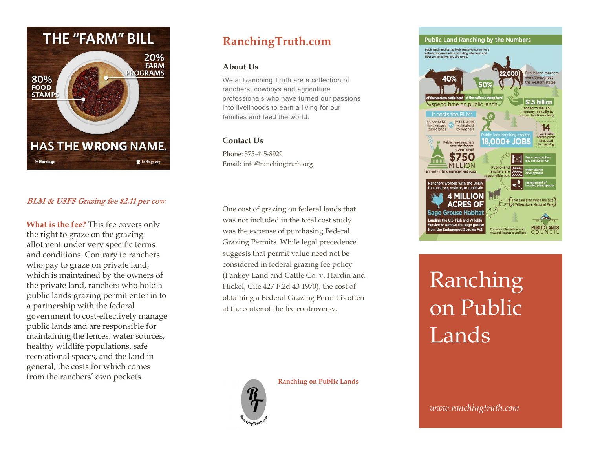

#### **BLM & USFS Grazing fee \$2.11 per cow**

**What is the fee?** This fee covers only the right to graze on the grazing allotment under very specific terms and conditions. Contrary to ranchers who pay to graze on private land, which is maintained by the owners of the private land, ranchers who hold a public lands grazing permit enter in to a partnership with the federal government to cost-effectively manage public lands and are responsible for maintaining the fences, water sources, healthy wildlife populations, safe recreational spaces, and the land in general, the costs for which comes from the ranchers' own pockets.

## **RanchingTruth.com**

#### **About Us**

We at Ranching Truth are a collection of ranchers, cowboys and agriculture professionals who have turned our passions into livelihoods to earn a living for our families and feed the world.

#### **Contact Us**

Phone: 575-415-8929 Email: info@ranchingtruth.org

One cost of grazing on federal lands that was not included in the total cost study was the expense of purchasing Federal Grazing Permits. While legal precedence suggests that permit value need not be considered in federal grazing fee policy (Pankey Land and Cattle Co. v. Hardin and Hickel, Cite 427 F.2d 43 1970), the cost of obtaining a Federal Grazing Permit is often at the center of the fee controversy.

**Ranching on Public Lands**





**Public Land Ranching by the Numbers** Pubic land ranchers actively preserve our nation's<br>natural resources while providing vital food and<br>fiber to the nation and the world. **Public land ranchers** 22 OOO work throughout the western states spend time on public lands \$1.5 billion added to the U.S. economy annually by<br>public lands ranching It costs the BLM: 5 per ACRE \$2 PER ACRE r ungrazed<br>ublic lands maintained<br>by ranchers  $14$ U.S. states ontain publ **8.000+ JOBS** lands used **Public land ranchers** save the federal government 750 **VIILLION** inchers worked with the USDA o conserve, restore, or maintair **MILLION** That's an area twice the size age Grouse Habital eading the U.S. Fish and Wildlife ervice to remove the sage grous

# Ranching on Public Lands